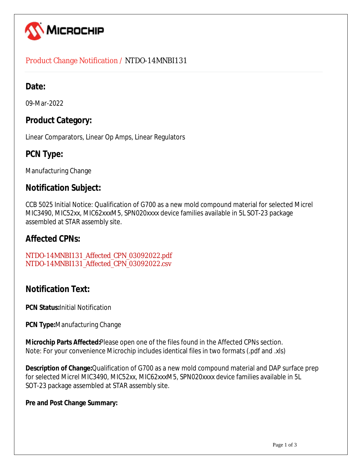

### Product Change Notification / NTDO-14MNBI131

## **Date:**

09-Mar-2022

## **Product Category:**

Linear Comparators, Linear Op Amps, Linear Regulators

# **PCN Type:**

Manufacturing Change

### **Notification Subject:**

CCB 5025 Initial Notice: Qualification of G700 as a new mold compound material for selected Micrel MIC3490, MIC52xx, MIC62xxxM5, SPN020xxxx device families available in 5L SOT-23 package assembled at STAR assembly site.

### **Affected CPNs:**

[NTDO-14MNBI131\\_Affected\\_CPN\\_03092022.pdf](https://www.microchip.com/mymicrochipapi/api/pcn/DownloadPcnDocument?pcnId=17441&affectedcpns=pdf) [NTDO-14MNBI131\\_Affected\\_CPN\\_03092022.csv](https://www.microchip.com/mymicrochipapi/api/pcn/DownloadPcnDocument?pcnId=17441&affectedcpns=xls)

# **Notification Text:**

**PCN Status:**Initial Notification

**PCN Type:**Manufacturing Change

**Microchip Parts Affected:**Please open one of the files found in the Affected CPNs section. Note: For your convenience Microchip includes identical files in two formats (.pdf and .xls)

**Description of Change:**Qualification of G700 as a new mold compound material and DAP surface prep for selected Micrel MIC3490, MIC52xx, MIC62xxxM5, SPN020xxxx device families available in 5L SOT-23 package assembled at STAR assembly site.

#### **Pre and Post Change Summary:**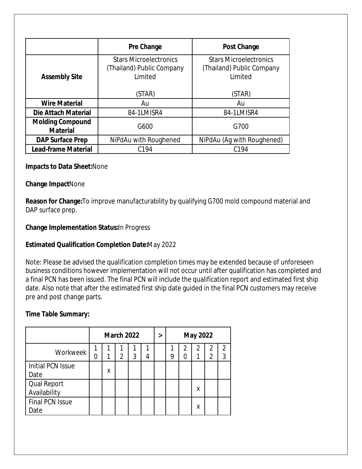|                                            | Pre Change                                                                      | <b>Post Change</b>                                                              |  |  |
|--------------------------------------------|---------------------------------------------------------------------------------|---------------------------------------------------------------------------------|--|--|
| <b>Assembly Site</b>                       | <b>Stars Microelectronics</b><br>(Thailand) Public Company<br>Limited<br>(STAR) | <b>Stars Microelectronics</b><br>(Thailand) Public Company<br>Limited<br>(STAR) |  |  |
| <b>Wire Material</b>                       | Au                                                                              | Au                                                                              |  |  |
| Die Attach Material                        | 84-1LMISR4                                                                      | 84-1LMISR4                                                                      |  |  |
| <b>Molding Compound</b><br><b>Material</b> | G600                                                                            | G700                                                                            |  |  |
| <b>DAP Surface Prep</b>                    | NiPdAu with Roughened                                                           | NiPdAu (Ag with Roughened)                                                      |  |  |
| <b>Lead-frame Material</b>                 | C <sub>194</sub>                                                                | C <sub>194</sub>                                                                |  |  |

#### **Impacts to Data Sheet:**None

#### **Change Impact**None

**Reason for Change:**To improve manufacturability by qualifying G700 mold compound material and DAP surface prep.

#### **Change Implementation Status:**In Progress

#### **Estimated Qualification Completion Date:**May 2022

Note: Please be advised the qualification completion times may be extended because of unforeseen business conditions however implementation will not occur until after qualification has completed and a final PCN has been issued. The final PCN will include the qualification report and estimated first ship date. Also note that after the estimated first ship date guided in the final PCN customers may receive pre and post change parts.

#### **Time Table Summary:**

|                                    | <b>March 2022</b> |   |                |   |   | > | <b>May 2022</b> |        |   |        |                     |
|------------------------------------|-------------------|---|----------------|---|---|---|-----------------|--------|---|--------|---------------------|
| Workweek                           | N                 | 1 | $\mathfrak{D}$ | 3 | 4 |   | 9               | 2<br>N | 2 | 2<br>2 | $\mathfrak{D}$<br>3 |
| <b>Initial PCN Issue</b><br>Date   |                   | Χ |                |   |   |   |                 |        |   |        |                     |
| <b>Qual Report</b><br>Availability |                   |   |                |   |   |   |                 |        | х |        |                     |
| <b>Final PCN Issue</b><br>Date     |                   |   |                |   |   |   |                 |        | χ |        |                     |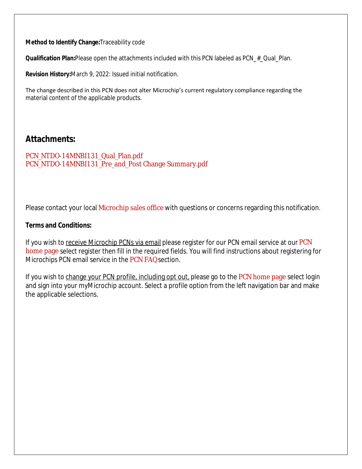**Method to Identify Change:**Traceability code

**Qualification Plan:**Please open the attachments included with this PCN labeled as PCN\_#\_Qual\_Plan.

**Revision History:**March 9, 2022: Issued initial notification.

The change described in this PCN does not alter Microchip's current regulatory compliance regarding the material content of the applicable products.

### **Attachments:**

[PCN\\_NTDO-14MNBI131\\_Qual\\_Plan.pdf](https://www.microchip.com/mymicrochipapi/api/pcn/DownloadPcnDocument?pcnId=17441&filename=PCN_NTDO-14MNBI131_Qual_Plan.pdf) [PCN\\_NTDO-14MNBI131\\_Pre\\_and\\_Post Change Summary.pdf](https://www.microchip.com/mymicrochipapi/api/pcn/DownloadPcnDocument?pcnId=17441&filename=PCN_NTDO-14MNBI131_Pre_and_Post Change Summary.pdf)

Please contact your local [Microchip sales office](http://www.microchip.com/distributors/SalesHome.aspx) with questions or concerns regarding this notification.

#### **Terms and Conditions:**

If you wish to receive Microchip PCNs via email please register for our [PCN](http://www.microchip.com/pcn) email service at our PCN [home page](http://www.microchip.com/pcn) select register then fill in the required fields. You will find instructions about registering for Microchips PCN email service in the [PCN FAQ](http://www.microchip.com/pcn/faqs) section.

If you wish to change your PCN profile, including opt out, please go to the [PCN home page](http://www.microchip.com/pcn) select login and sign into your myMicrochip account. Select a profile option from the left navigation bar and make the applicable selections.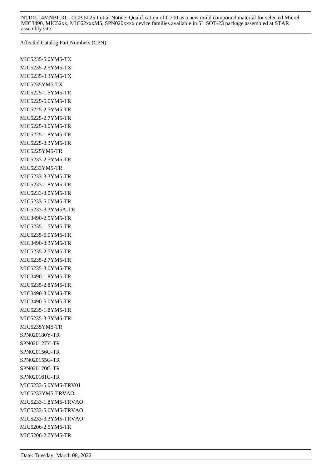NTDO-14MNBI131 - CCB 5025 Initial Notice: Qualification of G700 as a new mold compound material for selected Micrel MIC3490, MIC52xx, MIC62xxxM5, SPN020xxxx device families available in 5L SOT-23 package assembled at STAR assembly site.

Affected Catalog Part Numbers (CPN)

MIC5235-5.0YM5-TX MIC5235-2.5YM5-TX MIC5235-3.3YM5-TX MIC5235YM5-TX MIC5225-1.5YM5-TR MIC5225-5.0YM5-TR MIC5225-2.5YM5-TR MIC5225-2.7YM5-TR MIC5225-3.0YM5-TR MIC5225-1.8YM5-TR MIC5225-3.3YM5-TR MIC5225YM5-TR MIC5233-2.5YM5-TR MIC5233YM5-TR MIC5233-3.3YM5-TR MIC5233-1.8YM5-TR MIC5233-3.0YM5-TR MIC5233-5.0YM5-TR MIC5233-3.3YM5A-TR MIC3490-2.5YM5-TR MIC5235-1.5YM5-TR MIC5235-5.0YM5-TR MIC3490-3.3YM5-TR MIC5235-2.5YM5-TR MIC5235-2.7YM5-TR MIC5235-3.0YM5-TR MIC3490-1.8YM5-TR MIC5235-2.8YM5-TR MIC3490-3.0YM5-TR MIC3490-5.0YM5-TR MIC5235-1.8YM5-TR MIC5235-3.3YM5-TR MIC5235YM5-TR SPN020180Y-TR SPN020127Y-TR SPN020156G-TR SPN020155G-TR SPN020170G-TR SPN020161G-TR MIC5233-5.0YM5-TRV01 MIC5233YM5-TRVAO MIC5233-1.8YM5-TRVAO MIC5233-5.0YM5-TRVAO MIC5233-3.3YM5-TRVAO MIC5206-2.5YM5-TR MIC5206-2.7YM5-TR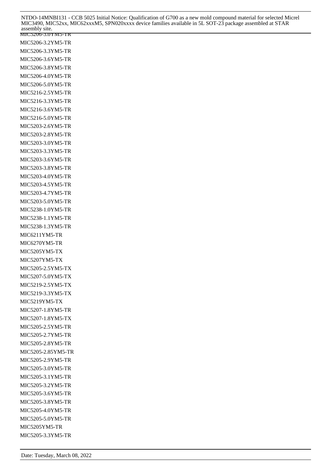| NTDO-14MNBI131 - CCB 5025 Initial Notice: Qualification of G700 as a new mold compound material for selected Micrel<br>MIC3490, MIC52xx, MIC62xxxM5, SPN020xxxx device families available in 5L SOT-23 package assembled at STAR<br>assembly site. |
|----------------------------------------------------------------------------------------------------------------------------------------------------------------------------------------------------------------------------------------------------|
| MIC5206-3.0YM5-1R                                                                                                                                                                                                                                  |
| MIC5206-3.2YM5-TR                                                                                                                                                                                                                                  |
| MIC5206-3.3YM5-TR                                                                                                                                                                                                                                  |
| MIC5206-3.6YM5-TR                                                                                                                                                                                                                                  |
| MIC5206-3.8YM5-TR                                                                                                                                                                                                                                  |
| MIC5206-4.0YM5-TR                                                                                                                                                                                                                                  |
| MIC5206-5.0YM5-TR                                                                                                                                                                                                                                  |
| MIC5216-2.5YM5-TR                                                                                                                                                                                                                                  |
| MIC5216-3.3YM5-TR                                                                                                                                                                                                                                  |
| MIC5216-3.6YM5-TR                                                                                                                                                                                                                                  |
| MIC5216-5.0YM5-TR                                                                                                                                                                                                                                  |
| MIC5203-2.6YM5-TR                                                                                                                                                                                                                                  |
| MIC5203-2.8YM5-TR                                                                                                                                                                                                                                  |
| MIC5203-3.0YM5-TR                                                                                                                                                                                                                                  |
| MIC5203-3.3YM5-TR                                                                                                                                                                                                                                  |
| MIC5203-3.6YM5-TR                                                                                                                                                                                                                                  |
| MIC5203-3.8YM5-TR                                                                                                                                                                                                                                  |
| MIC5203-4.0YM5-TR                                                                                                                                                                                                                                  |
| MIC5203-4.5YM5-TR                                                                                                                                                                                                                                  |
| MIC5203-4.7YM5-TR                                                                                                                                                                                                                                  |
| MIC5203-5.0YM5-TR                                                                                                                                                                                                                                  |
| MIC5238-1.0YM5-TR                                                                                                                                                                                                                                  |
| MIC5238-1.1YM5-TR                                                                                                                                                                                                                                  |
| MIC5238-1.3YM5-TR                                                                                                                                                                                                                                  |
| MIC6211YM5-TR                                                                                                                                                                                                                                      |
| MIC6270YM5-TR                                                                                                                                                                                                                                      |
| MIC5205YM5-TX                                                                                                                                                                                                                                      |
| MIC5207YM5-TX                                                                                                                                                                                                                                      |
| MIC5205-2.5YM5-TX                                                                                                                                                                                                                                  |
| MIC5207-5.0YM5-TX                                                                                                                                                                                                                                  |
| MIC5219-2.5YM5-TX                                                                                                                                                                                                                                  |
| MIC5219-3.3YM5-TX                                                                                                                                                                                                                                  |
| MIC5219YM5-TX                                                                                                                                                                                                                                      |
| MIC5207-1.8YM5-TR                                                                                                                                                                                                                                  |
| MIC5207-1.8YM5-TX                                                                                                                                                                                                                                  |
| MIC5205-2.5YM5-TR                                                                                                                                                                                                                                  |
| MIC5205-2.7YM5-TR                                                                                                                                                                                                                                  |
| MIC5205-2.8YM5-TR                                                                                                                                                                                                                                  |
| MIC5205-2.85YM5-TR                                                                                                                                                                                                                                 |
| MIC5205-2.9YM5-TR                                                                                                                                                                                                                                  |
| MIC5205-3.0YM5-TR                                                                                                                                                                                                                                  |
| MIC5205-3.1YM5-TR                                                                                                                                                                                                                                  |
| MIC5205-3.2YM5-TR                                                                                                                                                                                                                                  |
| MIC5205-3.6YM5-TR                                                                                                                                                                                                                                  |
| MIC5205-3.8YM5-TR                                                                                                                                                                                                                                  |
| MIC5205-4.0YM5-TR                                                                                                                                                                                                                                  |
| MIC5205-5.0YM5-TR                                                                                                                                                                                                                                  |
| MIC5205YM5-TR                                                                                                                                                                                                                                      |
| MIC5205-3.3YM5-TR                                                                                                                                                                                                                                  |